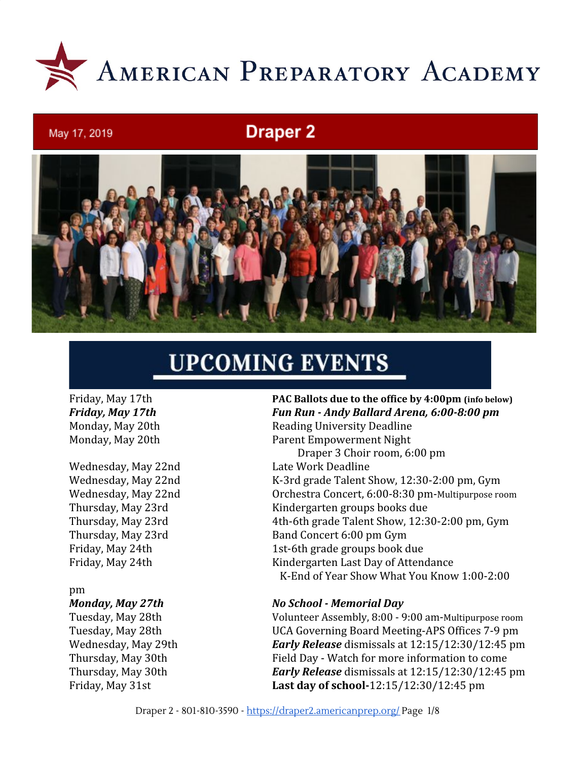

# **Draper 2**



# **UPCOMING EVENTS**

May 17, 2019

#### pm

Friday, May 17th **PAC Ballots due to the office by 4:00pm (info below)** *Friday, May 17th Fun Run - Andy Ballard Arena, 6:00-8:00 pm* Monday, May 20th Reading University Deadline Monday, May 20th Parent Empowerment Night Draper 3 Choir room, 6:00 pm Wednesday, May 22nd Late Work Deadline Wednesday, May 22nd K-3rd grade Talent Show, 12:30-2:00 pm, Gym Wednesday, May 22nd Orchestra Concert, 6:00-8:30 pm-Multipurpose room Thursday, May 23rd Kindergarten groups books due Thursday, May 23rd 4th-6th grade Talent Show, 12:30-2:00 pm, Gym Thursday, May 23rd Band Concert 6:00 pm Gym Friday, May 24th 1st-6th grade groups book due Friday, May 24th Kindergarten Last Day of Attendance K-End of Year Show What You Know 1:00-2:00

#### *Monday, May 27th No School - Memorial Day*

Tuesday, May 28th Volunteer Assembly, 8:00 - 9:00 am-Multipurpose room Tuesday, May 28th UCA Governing Board Meeting-APS Offices 7-9 pm Wednesday, May 29th *Early Release* dismissals at 12:15/12:30/12:45 pm Thursday, May 30th Field Day - Watch for more information to come Thursday, May 30th *Early Release* dismissals at 12:15/12:30/12:45 pm Friday, May 31st **Last day of school-**12:15/12:30/12:45 pm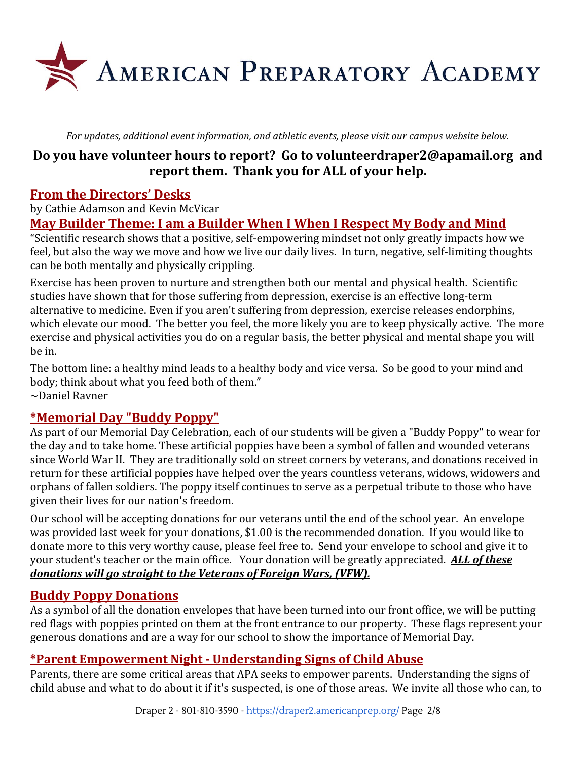

*For updates, additional event information, and athletic events, please visit our campus website below.*

# **Do you have volunteer hours to report? Go to [volunteerdraper2@apamail.org](mailto:volunteerdraper2@apamail.org) and report them. Thank you for ALL of your help.**

# **From the Directors' Desks**

by Cathie Adamson and Kevin McVicar

# **May Builder Theme: I am a Builder When I When I Respect My Body and Mind**

"Scientific research shows that a positive, self-empowering mindset not only greatly impacts how we feel, but also the way we move and how we live our daily lives. In turn, negative, self-limiting thoughts can be both mentally and physically crippling.

Exercise has been proven to nurture and strengthen both our mental and physical health. Scientific studies have shown that for those suffering from depression, exercise is an effective long-term alternative to medicine. Even if you aren't suffering from depression, exercise releases endorphins, which elevate our mood. The better you feel, the more likely you are to keep physically active. The more exercise and physical activities you do on a regular basis, the better physical and mental shape you will be in.

The bottom line: a healthy mind leads to a healthy body and vice versa. So be good to your mind and body; think about what you feed both of them." ~Daniel Ravner

### **\*Memorial Day "Buddy Poppy"**

As part of our Memorial Day Celebration, each of our students will be given a "Buddy Poppy" to wear for the day and to take home. These artificial poppies have been a symbol of fallen and wounded veterans since World War II. They are traditionally sold on street corners by veterans, and donations received in return for these artificial poppies have helped over the years countless veterans, widows, widowers and orphans of fallen soldiers. The poppy itself continues to serve as a perpetual tribute to those who have given their lives for our nation's freedom.

Our school will be accepting donations for our veterans until the end of the school year. An envelope was provided last week for your donations, \$1.00 is the recommended donation. If you would like to donate more to this very worthy cause, please feel free to. Send your envelope to school and give it to your student's teacher or the main office. Your donation will be greatly appreciated. *ALL of these donations will go straight to the Veterans of Foreign Wars, (VFW).*

# **Buddy Poppy Donations**

As a symbol of all the donation envelopes that have been turned into our front office, we will be putting red flags with poppies printed on them at the front entrance to our property. These flags represent your generous donations and are a way for our school to show the importance of Memorial Day.

# **\*Parent Empowerment Night - Understanding Signs of Child Abuse**

Parents, there are some critical areas that APA seeks to empower parents. Understanding the signs of child abuse and what to do about it if it's suspected, is one of those areas. We invite all those who can, to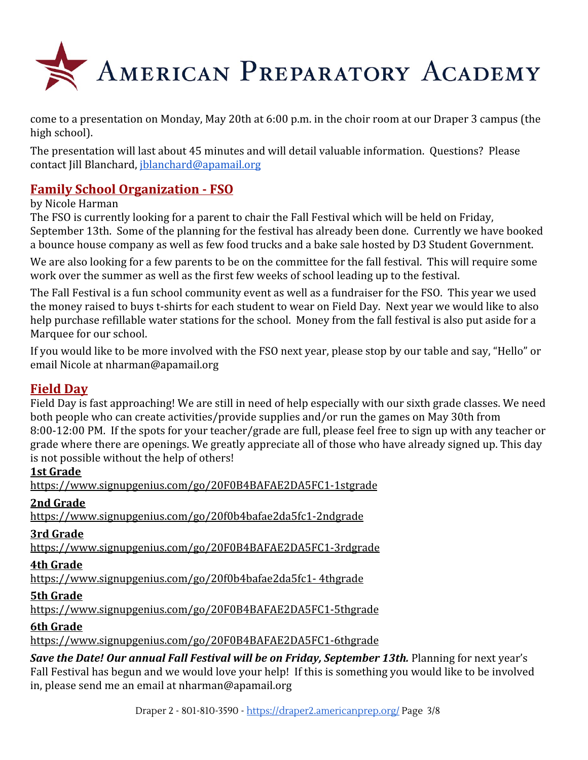

come to a presentation on Monday, May 20th at 6:00 p.m. in the choir room at our Draper 3 campus (the high school).

The presentation will last about 45 minutes and will detail valuable information. Questions? Please contact Jill Blanchard, [jblanchard@apamail.org](mailto:jblanchard@apamail.org)

# **Family School Organization - FSO**

#### by Nicole Harman

The FSO is currently looking for a parent to chair the Fall Festival which will be held on Friday, September 13th. Some of the planning for the festival has already been done. Currently we have booked a bounce house company as well as few food trucks and a bake sale hosted by D3 Student Government.

We are also looking for a few parents to be on the committee for the fall festival. This will require some work over the summer as well as the first few weeks of school leading up to the festival.

The Fall Festival is a fun school community event as well as a fundraiser for the FSO. This year we used the money raised to buys t-shirts for each student to wear on Field Day. Next year we would like to also help purchase refillable water stations for the school. Money from the fall festival is also put aside for a Marquee for our school.

If you would like to be more involved with the FSO next year, please stop by our table and say, "Hello" or email Nicole at nharman@apamail.org

### **Field Day**

Field Day is fast approaching! We are still in need of help especially with our sixth grade classes. We need both people who can create activities/provide supplies and/or run the games on May 30th from 8:00-12:00 PM. If the spots for your teacher/grade are full, please feel free to sign up with any teacher or grade where there are openings. We greatly appreciate all of those who have already signed up. This day is not possible without the help of others!

#### **1st Grade**

<https://www.signupgenius.com/go/20F0B4BAFAE2DA5FC1-1stgrade>

#### **2nd Grade**

<https://www.signupgenius.com/go/20f0b4bafae2da5fc1-2ndgrade>

#### **3rd Grade**

<https://www.signupgenius.com/go/20F0B4BAFAE2DA5FC1-3rdgrade>

#### **4th Grade**

[https://www.signupgenius.com/go/20f0b4bafae2da5fc1- 4thgrade](https://www.signupgenius.com/go/20f0b4bafae2da5fc1-4thgrade)

#### **5th Grade**

<https://www.signupgenius.com/go/20F0B4BAFAE2DA5FC1-5thgrade>

#### **6th Grade**

<https://www.signupgenius.com/go/20F0B4BAFAE2DA5FC1-6thgrade>

**Save the Date! Our annual Fall Festival will be on Friday, September 13th.** Planning for next year's Fall Festival has begun and we would love your help! If this is something you would like to be involved in, please send me an email at nharman@apamail.org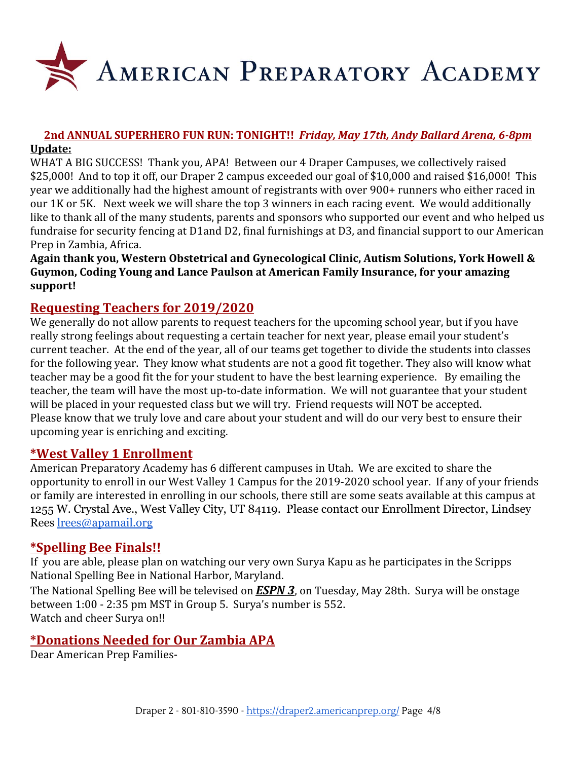

#### **2nd ANNUAL SUPERHERO FUN RUN: TONIGHT!!** *Friday, May 17th, Andy Ballard Arena, 6-8pm* **Update:**

WHAT A BIG SUCCESS! Thank you, APA! Between our 4 Draper Campuses, we collectively raised \$25,000! And to top it off, our Draper 2 campus exceeded our goal of \$10,000 and raised \$16,000! This year we additionally had the highest amount of registrants with over 900+ runners who either raced in our 1K or 5K. Next week we will share the top 3 winners in each racing event. We would additionally like to thank all of the many students, parents and sponsors who supported our event and who helped us fundraise for security fencing at D1and D2, final furnishings at D3, and financial support to our American Prep in Zambia, Africa.

**Again thank you, Western Obstetrical and Gynecological Clinic, Autism Solutions, York Howell & Guymon, Coding Young and Lance Paulson at American Family Insurance, for your amazing support!**

# **Requesting Teachers for 2019/2020**

We generally do not allow parents to request teachers for the upcoming school year, but if you have really strong feelings about requesting a certain teacher for next year, please email your student's current teacher. At the end of the year, all of our teams get together to divide the students into classes for the following year. They know what students are not a good fit together. They also will know what teacher may be a good fit the for your student to have the best learning experience. By emailing the teacher, the team will have the most up-to-date information. We will not guarantee that your student will be placed in your requested class but we will try. Friend requests will NOT be accepted. Please know that we truly love and care about your student and will do our very best to ensure their upcoming year is enriching and exciting.

#### **\*West Valley 1 Enrollment**

American Preparatory Academy has 6 different campuses in Utah. We are excited to share the opportunity to enroll in our West Valley 1 Campus for the 2019-2020 school year. If any of your friends or family are interested in enrolling in our schools, there still are some seats available at this campus at 1255 W. Crystal Ave., West Valley City, UT 84119. Please contact our Enrollment Director, Lindsey Rees [lrees@apamail.org](mailto:lrees@apamail.org)

### **\*Spelling Bee Finals!!**

If you are able, please plan on watching our very own Surya Kapu as he participates in the Scripps National Spelling Bee in National Harbor, Maryland.

The National Spelling Bee will be televised on *ESPN 3*, on Tuesday, May 28th. Surya will be onstage between 1:00 - 2:35 pm MST in Group 5. Surya's number is 552. Watch and cheer Surya on!!

### **\*Donations Needed for Our Zambia APA**

Dear American Prep Families-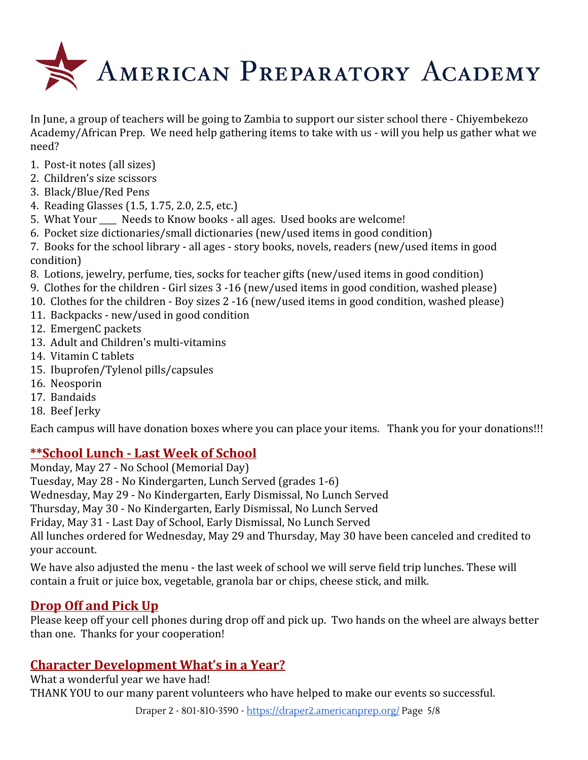

In June, a group of teachers will be going to Zambia to support our sister school there - Chiyembekezo Academy/African Prep. We need help gathering items to take with us - will you help us gather what we need?

- 1. Post-it notes (all sizes)
- 2. Children's size scissors
- 3. Black/Blue/Red Pens
- 4. Reading Glasses (1.5, 1.75, 2.0, 2.5, etc.)
- 5. What Your Needs to Know books all ages. Used books are welcome!
- 6. Pocket size dictionaries/small dictionaries (new/used items in good condition)
- 7. Books for the school library all ages story books, novels, readers (new/used items in good condition)
- 8. Lotions, jewelry, perfume, ties, socks for teacher gifts (new/used items in good condition)
- 9. Clothes for the children Girl sizes 3 -16 (new/used items in good condition, washed please)
- 10. Clothes for the children Boy sizes 2 -16 (new/used items in good condition, washed please)
- 11. Backpacks new/used in good condition
- 12. EmergenC packets
- 13. Adult and Children's multi-vitamins
- 14. Vitamin C tablets
- 15. Ibuprofen/Tylenol pills/capsules
- 16. Neosporin
- 17. Bandaids
- 18. Beef Jerky

Each campus will have donation boxes where you can place your items. Thank you for your donations!!!

# **\*\*School Lunch - Last Week of School**

Monday, May 27 - No School (Memorial Day) Tuesday, May 28 - No Kindergarten, Lunch Served (grades 1-6) Wednesday, May 29 - No Kindergarten, Early Dismissal, No Lunch Served Thursday, May 30 - No Kindergarten, Early Dismissal, No Lunch Served Friday, May 31 - Last Day of School, Early Dismissal, No Lunch Served All lunches ordered for Wednesday, May 29 and Thursday, May 30 have been canceled and credited to your account.

We have also adjusted the menu - the last week of school we will serve field trip lunches. These will contain a fruit or juice box, vegetable, granola bar or chips, cheese stick, and milk.

# **Drop Off and Pick Up**

Please keep off your cell phones during drop off and pick up. Two hands on the wheel are always better than one. Thanks for your cooperation!

# **Character Development What's in a Year?**

What a wonderful year we have had! THANK YOU to our many parent volunteers who have helped to make our events so successful.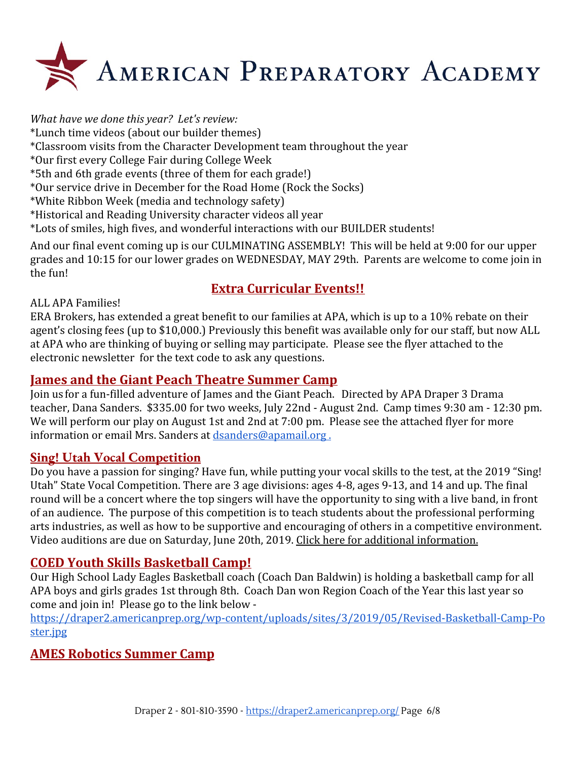

*What have we done this year? Let's review:*

\*Lunch time videos (about our builder themes)

\*Classroom visits from the Character Development team throughout the year

\*Our first every College Fair during College Week

\*5th and 6th grade events (three of them for each grade!)

\*Our service drive in December for the Road Home (Rock the Socks)

\*White Ribbon Week (media and technology safety)

\*Historical and Reading University character videos all year

\*Lots of smiles, high fives, and wonderful interactions with our BUILDER students!

And our final event coming up is our CULMINATING ASSEMBLY! This will be held at 9:00 for our upper grades and 10:15 for our lower grades on WEDNESDAY, MAY 29th. Parents are welcome to come join in the fun!

# **Extra Curricular Events!!**

ALL APA Families!

ERA Brokers, has extended a great benefit to our families at APA, which is up to a 10% rebate on their agent's closing fees (up to \$10,000.) Previously this benefit was available only for our staff, but now ALL at APA who are thinking of buying or selling may participate. Please see the flyer attached to the electronic newsletter for the text code to ask any questions.

## **James and the Giant Peach Theatre Summer Camp**

Join us for a fun-filled adventure of James and the Giant Peach. Directed by APA Draper 3 Drama teacher, Dana Sanders. \$335.00 for two weeks, July 22nd - August 2nd. Camp times 9:30 am - 12:30 pm. We will perform our play on August 1st and 2nd at 7:00 pm. Please see the attached flyer for more information or email Mrs. Sanders at [dsanders@apamail.org .](mailto:dsanders@apamail.org)

### **Sing! Utah Vocal Competition**

Do you have a passion for singing? Have fun, while putting your vocal skills to the test, at the 2019 "Sing! Utah" State Vocal Competition. There are 3 age divisions: ages 4-8, ages 9-13, and 14 and up. The final round will be a concert where the top singers will have the opportunity to sing with a live band, in front of an audience. The purpose of this competition is to teach students about the professional performing arts industries, as well as how to be supportive and encouraging of others in a competitive environment. Video auditions are due on Saturday, June 20th, 2019. [Click here for additional information.](https://draper3.americanprep.org/wp-content/uploads/sites/276/2019/04/Sing-Utah-2019-Vocal-Comp-Poster.jpg)

# **COED Youth Skills Basketball Camp!**

Our High School Lady Eagles Basketball coach (Coach Dan Baldwin) is holding a basketball camp for all APA boys and girls grades 1st through 8th. Coach Dan won Region Coach of the Year this last year so come and join in! Please go to the link below -

[https://draper2.americanprep.org/wp-content/uploads/sites/3/2019/05/Revised-Basketball-Camp-Po](https://draper2.americanprep.org/wp-content/uploads/sites/3/2019/05/Revised-Basketball-Camp-Poster.jpg) [ster.jpg](https://draper2.americanprep.org/wp-content/uploads/sites/3/2019/05/Revised-Basketball-Camp-Poster.jpg)

# **AMES Robotics Summer Camp**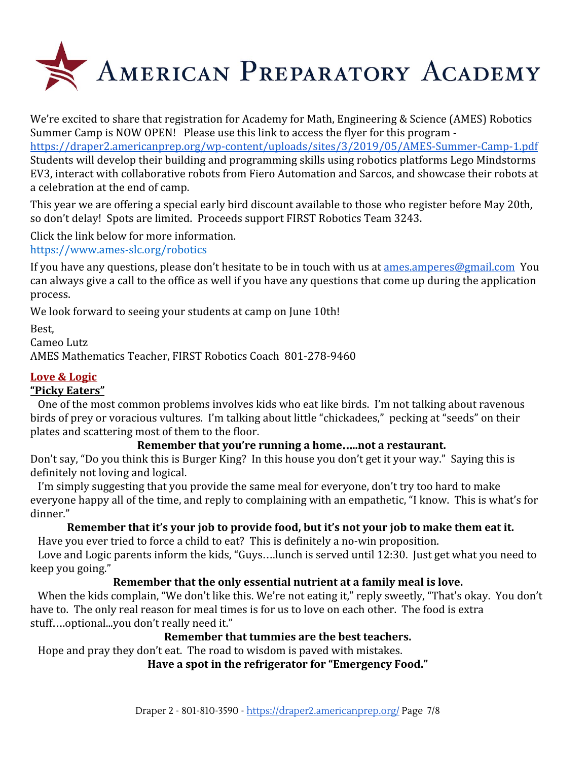

We're excited to share that registration for Academy for Math, Engineering & Science (AMES) Robotics Summer Camp is NOW OPEN! Please use this link to access the flyer for this program -

<https://draper2.americanprep.org/wp-content/uploads/sites/3/2019/05/AMES-Summer-Camp-1.pdf> Students will develop their building and programming skills using robotics platforms Lego Mindstorms EV3, interact with collaborative robots from Fiero Automation and Sarcos, and showcase their robots at a celebration at the end of camp.

This year we are offering a special early bird discount available to those who register before May 20th, so don't delay! Spots are limited. Proceeds support FIRST Robotics Team 3243.

Click the link below for more information.

[https://www.ames-slc.org/robotics](https://www.ames.slc-org/robotics)

If you have any questions, please don't hesitate to be in touch with us at [ames.amperes@gmail.com](mailto:ames.amperes@gmail.com) You can always give a call to the office as well if you have any questions that come up during the application process.

We look forward to seeing your students at camp on June 10th!

Best,

Cameo Lutz

AMES Mathematics Teacher, FIRST Robotics Coach 801-278-9460

#### **Love & Logic**

#### **"Picky Eaters"**

 One of the most common problems involves kids who eat like birds. I'm not talking about ravenous birds of prey or voracious vultures. I'm talking about little "chickadees," pecking at "seeds" on their plates and scattering most of them to the floor.

#### **Remember that you're running a home**…**..not a restaurant.**

Don't say, "Do you think this is Burger King? In this house you don't get it your way." Saying this is definitely not loving and logical.

 I'm simply suggesting that you provide the same meal for everyone, don't try too hard to make everyone happy all of the time, and reply to complaining with an empathetic, "I know. This is what's for dinner."

#### **Remember that it's your job to provide food, but it's not your job to make them eat it.**

Have you ever tried to force a child to eat? This is definitely a no-win proposition.

 Love and Logic parents inform the kids, "Guys….lunch is served until 12:30. Just get what you need to keep you going."

#### **Remember that the only essential nutrient at a family meal is love.**

When the kids complain, "We don't like this. We're not eating it," reply sweetly, "That's okay. You don't have to. The only real reason for meal times is for us to love on each other. The food is extra stuff….optional...you don't really need it."

#### **Remember that tummies are the best teachers.**

Hope and pray they don't eat. The road to wisdom is paved with mistakes.

#### **Have a spot in the refrigerator for "Emergency Food."**